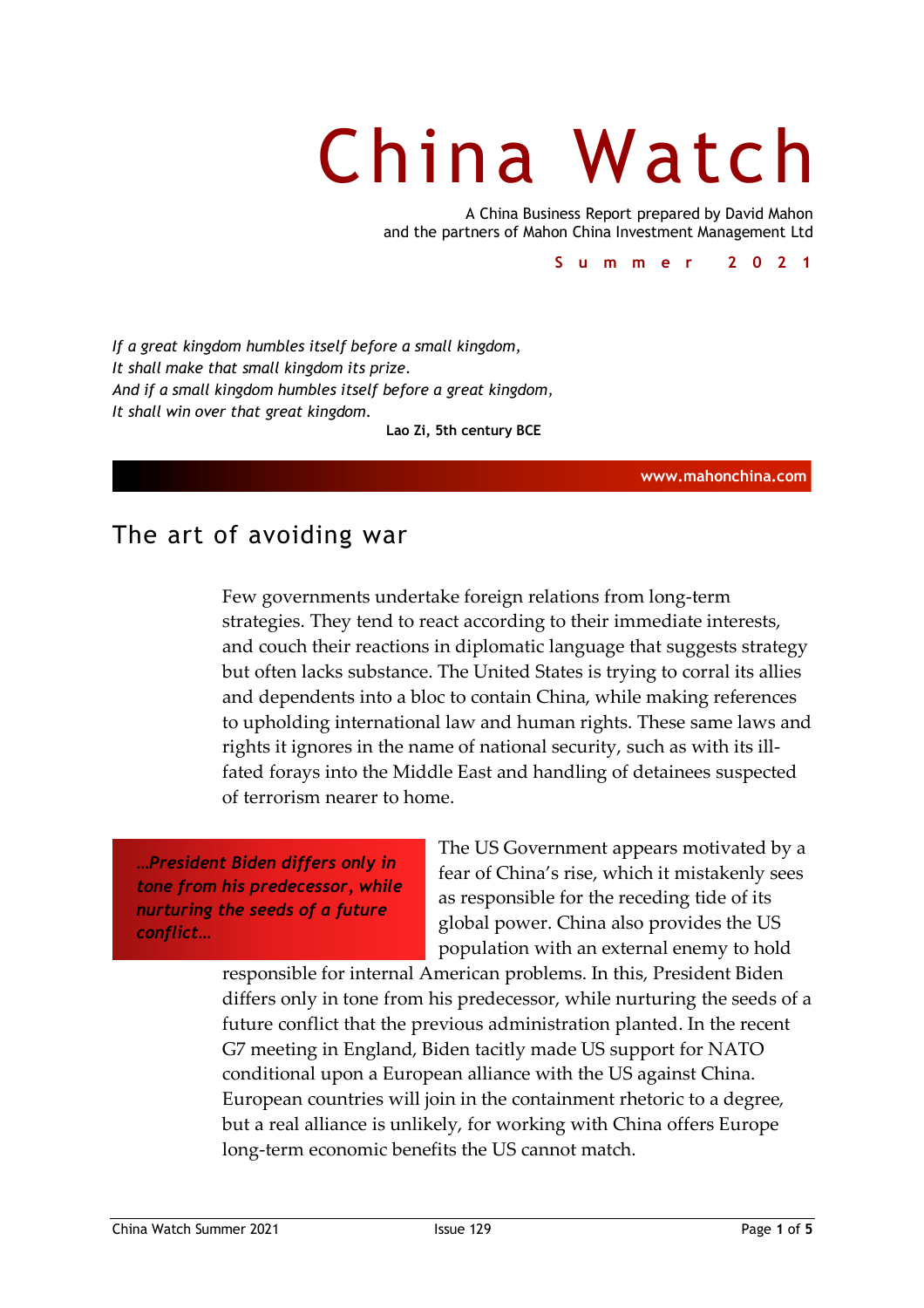## China Watch

A China Business Report prepared by David Mahon and the partners of Mahon China Investment Management Ltd

**Summer 2021**

*If a great kingdom humbles itself before a small kingdom, It shall make that small kingdom its prize. And if a small kingdom humbles itself before a great kingdom, It shall win over that great kingdom.*  **Lao Zi, 5th century BCE**

**www.mahonchina.com**

## The art of avoiding war

Few governments undertake foreign relations from long-term strategies. They tend to react according to their immediate interests, and couch their reactions in diplomatic language that suggests strategy but often lacks substance. The United States is trying to corral its allies and dependents into a bloc to contain China, while making references to upholding international law and human rights. These same laws and rights it ignores in the name of national security, such as with its illfated forays into the Middle East and handling of detainees suspected of terrorism nearer to home.

*…President Biden differs only in tone from his predecessor, while nurturing the seeds of a future conflict…*

The US Government appears motivated by a fear of China's rise, which it mistakenly sees as responsible for the receding tide of its global power. China also provides the US population with an external enemy to hold

responsible for internal American problems. In this, President Biden differs only in tone from his predecessor, while nurturing the seeds of a future conflict that the previous administration planted. In the recent G7 meeting in England, Biden tacitly made US support for NATO conditional upon a European alliance with the US against China. European countries will join in the containment rhetoric to a degree, but a real alliance is unlikely, for working with China offers Europe long-term economic benefits the US cannot match.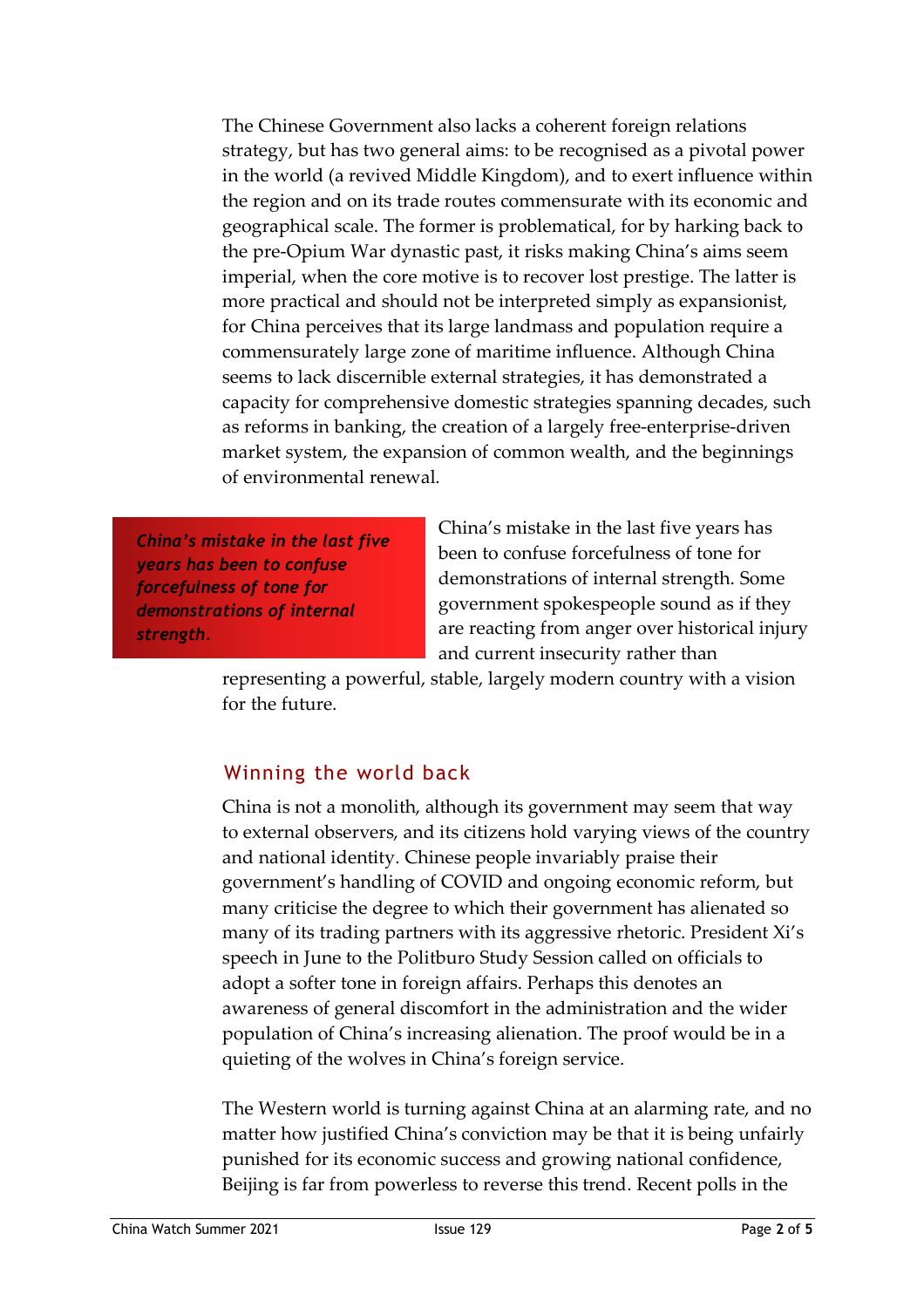The Chinese Government also lacks a coherent foreign relations strategy, but has two general aims: to be recognised as a pivotal power in the world (a revived Middle Kingdom), and to exert influence within the region and on its trade routes commensurate with its economic and geographical scale. The former is problematical, for by harking back to the pre-Opium War dynastic past, it risks making China's aims seem imperial, when the core motive is to recover lost prestige. The latter is more practical and should not be interpreted simply as expansionist, for China perceives that its large landmass and population require a commensurately large zone of maritime influence. Although China seems to lack discernible external strategies, it has demonstrated a capacity for comprehensive domestic strategies spanning decades, such as reforms in banking, the creation of a largely free-enterprise-driven market system, the expansion of common wealth, and the beginnings of environmental renewal.

*China's mistake in the last five years has been to confuse forcefulness of tone for demonstrations of internal strength.*

China's mistake in the last five years has been to confuse forcefulness of tone for demonstrations of internal strength. Some government spokespeople sound as if they are reacting from anger over historical injury and current insecurity rather than

representing a powerful, stable, largely modern country with a vision for the future.

## Winning the world back

China is not a monolith, although its government may seem that way to external observers, and its citizens hold varying views of the country and national identity. Chinese people invariably praise their government's handling of COVID and ongoing economic reform, but many criticise the degree to which their government has alienated so many of its trading partners with its aggressive rhetoric. President Xi's speech in June to the Politburo Study Session called on officials to adopt a softer tone in foreign affairs. Perhaps this denotes an awareness of general discomfort in the administration and the wider population of China's increasing alienation. The proof would be in a quieting of the wolves in China's foreign service.

The Western world is turning against China at an alarming rate, and no matter how justified China's conviction may be that it is being unfairly punished for its economic success and growing national confidence, Beijing is far from powerless to reverse this trend. Recent polls in the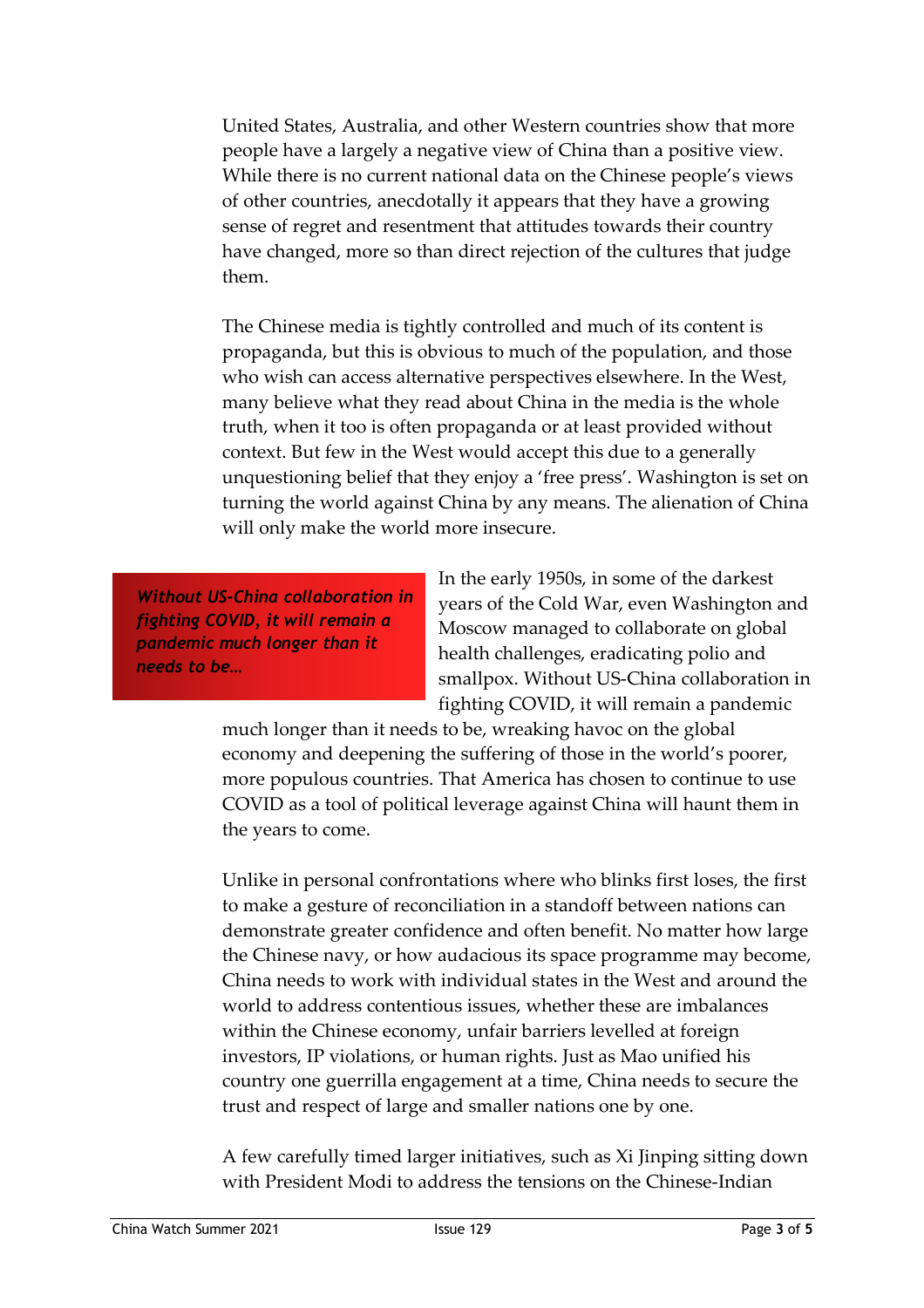United States, Australia, and other Western countries show that more people have a largely a negative view of China than a positive view. While there is no current national data on the Chinese people's views of other countries, anecdotally it appears that they have a growing sense of regret and resentment that attitudes towards their country have changed, more so than direct rejection of the cultures that judge them.

The Chinese media is tightly controlled and much of its content is propaganda, but this is obvious to much of the population, and those who wish can access alternative perspectives elsewhere. In the West, many believe what they read about China in the media is the whole truth, when it too is often propaganda or at least provided without context. But few in the West would accept this due to a generally unquestioning belief that they enjoy a 'free press'. Washington is set on turning the world against China by any means. The alienation of China will only make the world more insecure.

*Without US-China collaboration in fighting COVID, it will remain a pandemic much longer than it needs to be…*

In the early 1950s, in some of the darkest years of the Cold War, even Washington and Moscow managed to collaborate on global health challenges, eradicating polio and smallpox. Without US-China collaboration in fighting COVID, it will remain a pandemic

much longer than it needs to be, wreaking havoc on the global economy and deepening the suffering of those in the world's poorer, more populous countries. That America has chosen to continue to use COVID as a tool of political leverage against China will haunt them in the years to come.

Unlike in personal confrontations where who blinks first loses, the first to make a gesture of reconciliation in a standoff between nations can demonstrate greater confidence and often benefit. No matter how large the Chinese navy, or how audacious its space programme may become, China needs to work with individual states in the West and around the world to address contentious issues, whether these are imbalances within the Chinese economy, unfair barriers levelled at foreign investors, IP violations, or human rights. Just as Mao unified his country one guerrilla engagement at a time, China needs to secure the trust and respect of large and smaller nations one by one.

A few carefully timed larger initiatives, such as Xi Jinping sitting down with President Modi to address the tensions on the Chinese-Indian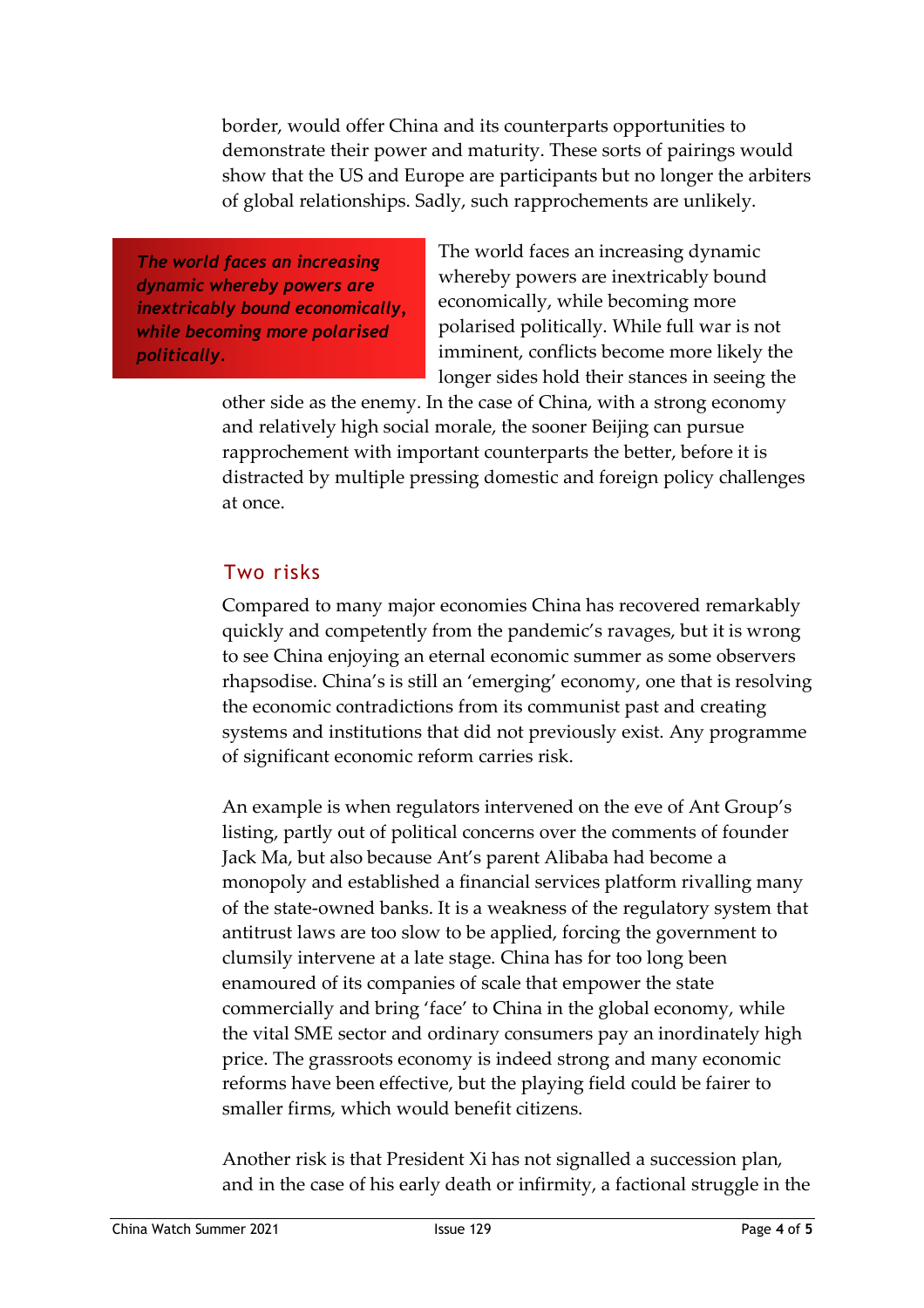border, would offer China and its counterparts opportunities to demonstrate their power and maturity. These sorts of pairings would show that the US and Europe are participants but no longer the arbiters of global relationships. Sadly, such rapprochements are unlikely.

*The world faces an increasing dynamic whereby powers are inextricably bound economically, while becoming more polarised politically.*

The world faces an increasing dynamic whereby powers are inextricably bound economically, while becoming more polarised politically. While full war is not imminent, conflicts become more likely the longer sides hold their stances in seeing the

other side as the enemy. In the case of China, with a strong economy and relatively high social morale, the sooner Beijing can pursue rapprochement with important counterparts the better, before it is distracted by multiple pressing domestic and foreign policy challenges at once.

## Two risks

Compared to many major economies China has recovered remarkably quickly and competently from the pandemic's ravages, but it is wrong to see China enjoying an eternal economic summer as some observers rhapsodise. China's is still an 'emerging' economy, one that is resolving the economic contradictions from its communist past and creating systems and institutions that did not previously exist. Any programme of significant economic reform carries risk.

An example is when regulators intervened on the eve of Ant Group's listing, partly out of political concerns over the comments of founder Jack Ma, but also because Ant's parent Alibaba had become a monopoly and established a financial services platform rivalling many of the state-owned banks. It is a weakness of the regulatory system that antitrust laws are too slow to be applied, forcing the government to clumsily intervene at a late stage. China has for too long been enamoured of its companies of scale that empower the state commercially and bring 'face' to China in the global economy, while the vital SME sector and ordinary consumers pay an inordinately high price. The grassroots economy is indeed strong and many economic reforms have been effective, but the playing field could be fairer to smaller firms, which would benefit citizens.

Another risk is that President Xi has not signalled a succession plan, and in the case of his early death or infirmity, a factional struggle in the